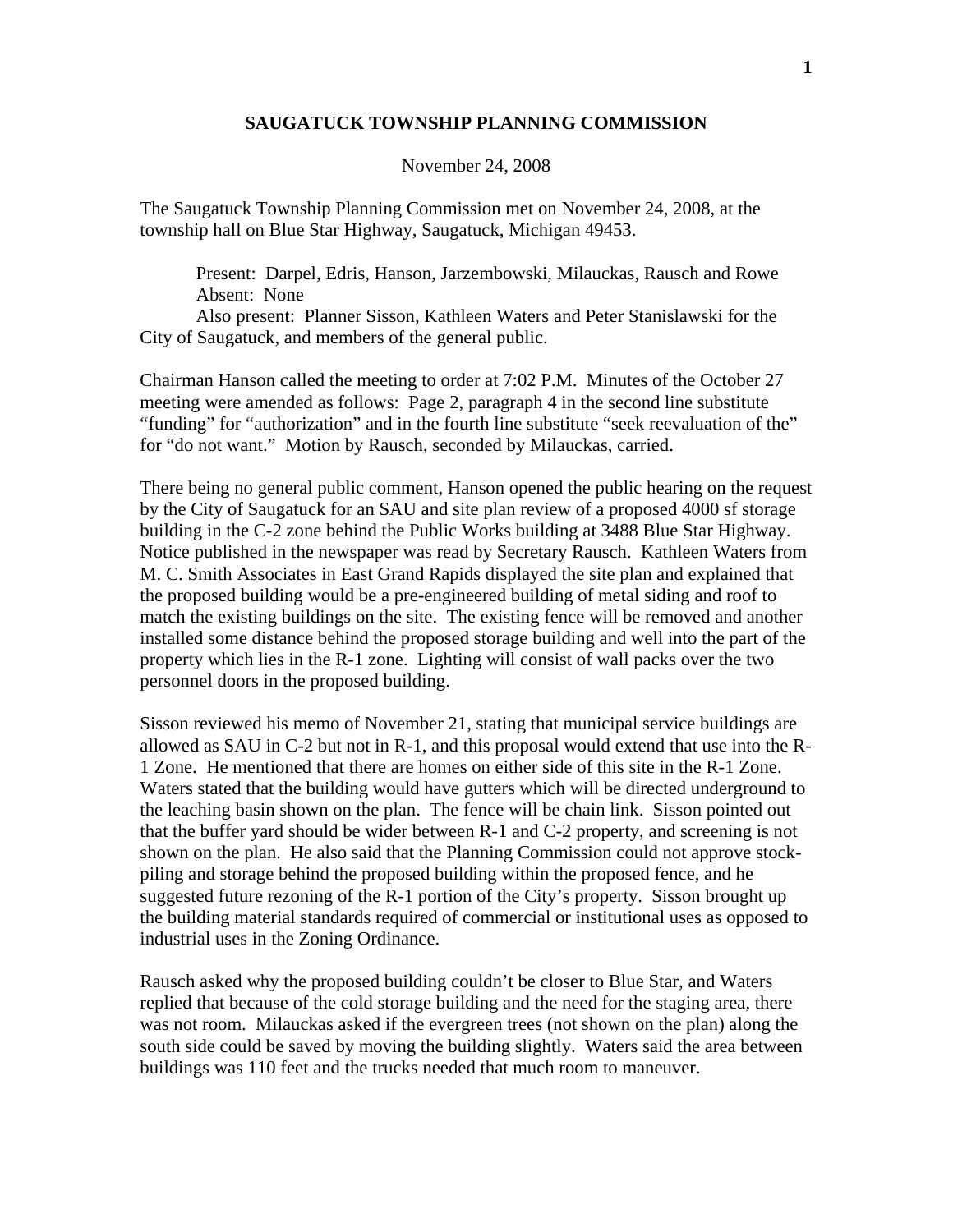## **SAUGATUCK TOWNSHIP PLANNING COMMISSION**

## November 24, 2008

The Saugatuck Township Planning Commission met on November 24, 2008, at the township hall on Blue Star Highway, Saugatuck, Michigan 49453.

 Present: Darpel, Edris, Hanson, Jarzembowski, Milauckas, Rausch and Rowe Absent: None

 Also present: Planner Sisson, Kathleen Waters and Peter Stanislawski for the City of Saugatuck, and members of the general public.

Chairman Hanson called the meeting to order at 7:02 P.M. Minutes of the October 27 meeting were amended as follows: Page 2, paragraph 4 in the second line substitute "funding" for "authorization" and in the fourth line substitute "seek reevaluation of the" for "do not want." Motion by Rausch, seconded by Milauckas, carried.

There being no general public comment, Hanson opened the public hearing on the request by the City of Saugatuck for an SAU and site plan review of a proposed 4000 sf storage building in the C-2 zone behind the Public Works building at 3488 Blue Star Highway. Notice published in the newspaper was read by Secretary Rausch. Kathleen Waters from M. C. Smith Associates in East Grand Rapids displayed the site plan and explained that the proposed building would be a pre-engineered building of metal siding and roof to match the existing buildings on the site. The existing fence will be removed and another installed some distance behind the proposed storage building and well into the part of the property which lies in the R-1 zone. Lighting will consist of wall packs over the two personnel doors in the proposed building.

Sisson reviewed his memo of November 21, stating that municipal service buildings are allowed as SAU in C-2 but not in R-1, and this proposal would extend that use into the R-1 Zone. He mentioned that there are homes on either side of this site in the R-1 Zone. Waters stated that the building would have gutters which will be directed underground to the leaching basin shown on the plan. The fence will be chain link. Sisson pointed out that the buffer yard should be wider between R-1 and C-2 property, and screening is not shown on the plan. He also said that the Planning Commission could not approve stockpiling and storage behind the proposed building within the proposed fence, and he suggested future rezoning of the R-1 portion of the City's property. Sisson brought up the building material standards required of commercial or institutional uses as opposed to industrial uses in the Zoning Ordinance.

Rausch asked why the proposed building couldn't be closer to Blue Star, and Waters replied that because of the cold storage building and the need for the staging area, there was not room. Milauckas asked if the evergreen trees (not shown on the plan) along the south side could be saved by moving the building slightly. Waters said the area between buildings was 110 feet and the trucks needed that much room to maneuver.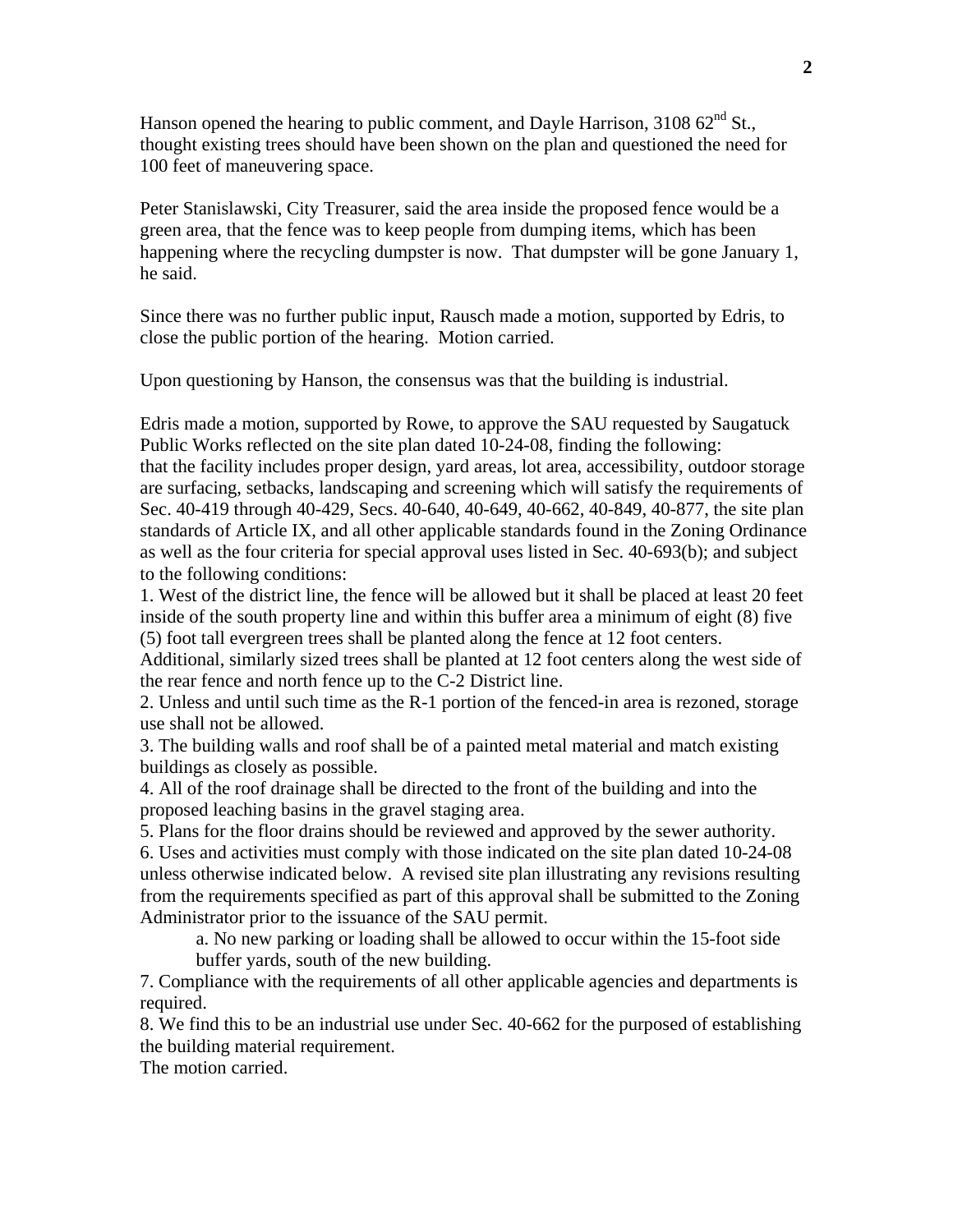Hanson opened the hearing to public comment, and Dayle Harrison,  $310862^{\text{nd}}$  St., thought existing trees should have been shown on the plan and questioned the need for 100 feet of maneuvering space.

Peter Stanislawski, City Treasurer, said the area inside the proposed fence would be a green area, that the fence was to keep people from dumping items, which has been happening where the recycling dumpster is now. That dumpster will be gone January 1, he said.

Since there was no further public input, Rausch made a motion, supported by Edris, to close the public portion of the hearing. Motion carried.

Upon questioning by Hanson, the consensus was that the building is industrial.

Edris made a motion, supported by Rowe, to approve the SAU requested by Saugatuck Public Works reflected on the site plan dated 10-24-08, finding the following: that the facility includes proper design, yard areas, lot area, accessibility, outdoor storage are surfacing, setbacks, landscaping and screening which will satisfy the requirements of Sec. 40-419 through 40-429, Secs. 40-640, 40-649, 40-662, 40-849, 40-877, the site plan standards of Article IX, and all other applicable standards found in the Zoning Ordinance as well as the four criteria for special approval uses listed in Sec. 40-693(b); and subject to the following conditions:

1. West of the district line, the fence will be allowed but it shall be placed at least 20 feet inside of the south property line and within this buffer area a minimum of eight (8) five (5) foot tall evergreen trees shall be planted along the fence at 12 foot centers.

Additional, similarly sized trees shall be planted at 12 foot centers along the west side of the rear fence and north fence up to the C-2 District line.

2. Unless and until such time as the R-1 portion of the fenced-in area is rezoned, storage use shall not be allowed.

3. The building walls and roof shall be of a painted metal material and match existing buildings as closely as possible.

4. All of the roof drainage shall be directed to the front of the building and into the proposed leaching basins in the gravel staging area.

5. Plans for the floor drains should be reviewed and approved by the sewer authority.

6. Uses and activities must comply with those indicated on the site plan dated 10-24-08 unless otherwise indicated below. A revised site plan illustrating any revisions resulting from the requirements specified as part of this approval shall be submitted to the Zoning Administrator prior to the issuance of the SAU permit.

a. No new parking or loading shall be allowed to occur within the 15-foot side buffer yards, south of the new building.

7. Compliance with the requirements of all other applicable agencies and departments is required.

8. We find this to be an industrial use under Sec. 40-662 for the purposed of establishing the building material requirement.

The motion carried.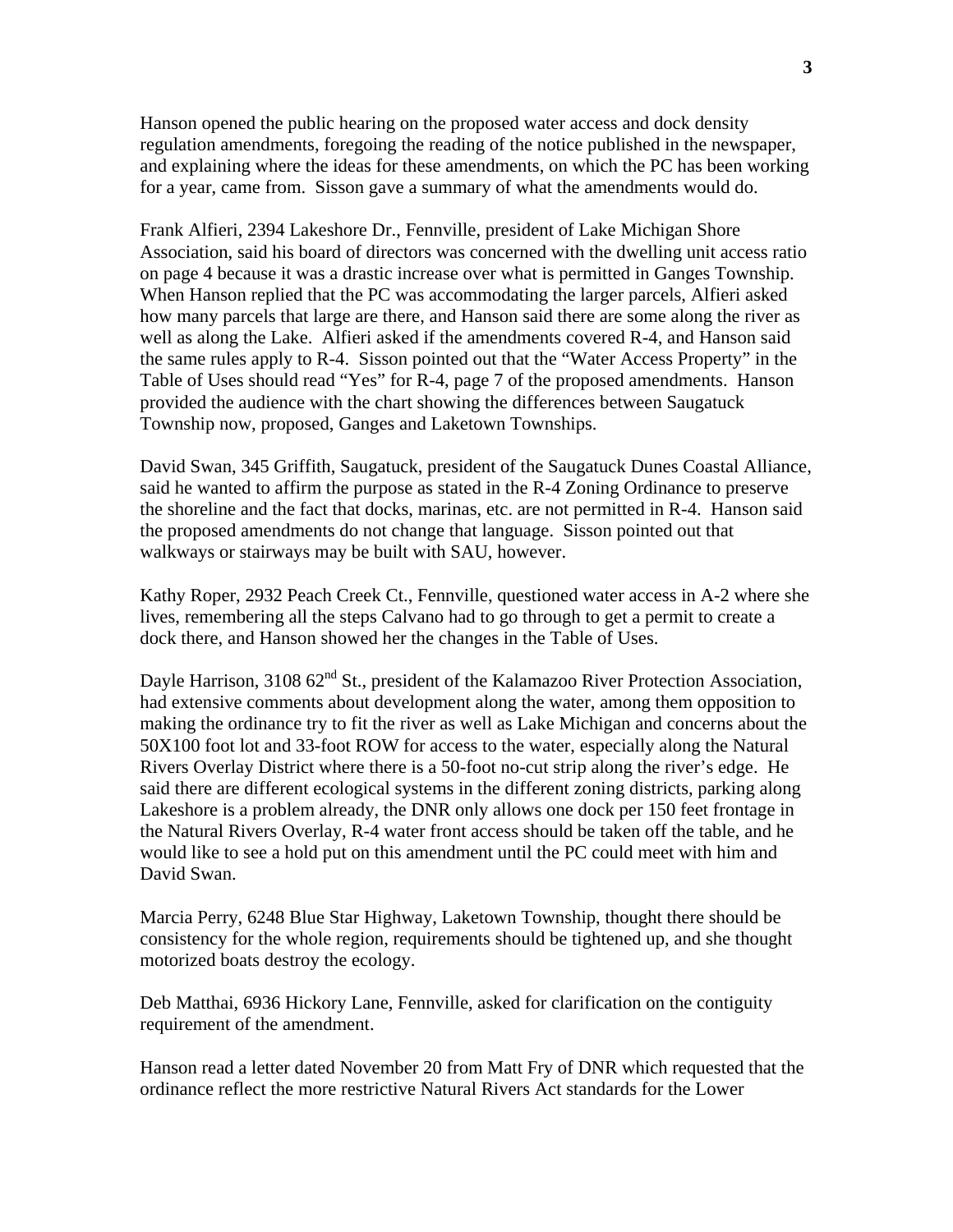Hanson opened the public hearing on the proposed water access and dock density regulation amendments, foregoing the reading of the notice published in the newspaper, and explaining where the ideas for these amendments, on which the PC has been working for a year, came from. Sisson gave a summary of what the amendments would do.

Frank Alfieri, 2394 Lakeshore Dr., Fennville, president of Lake Michigan Shore Association, said his board of directors was concerned with the dwelling unit access ratio on page 4 because it was a drastic increase over what is permitted in Ganges Township. When Hanson replied that the PC was accommodating the larger parcels, Alfieri asked how many parcels that large are there, and Hanson said there are some along the river as well as along the Lake. Alfieri asked if the amendments covered R-4, and Hanson said the same rules apply to R-4. Sisson pointed out that the "Water Access Property" in the Table of Uses should read "Yes" for R-4, page 7 of the proposed amendments. Hanson provided the audience with the chart showing the differences between Saugatuck Township now, proposed, Ganges and Laketown Townships.

David Swan, 345 Griffith, Saugatuck, president of the Saugatuck Dunes Coastal Alliance, said he wanted to affirm the purpose as stated in the R-4 Zoning Ordinance to preserve the shoreline and the fact that docks, marinas, etc. are not permitted in R-4. Hanson said the proposed amendments do not change that language. Sisson pointed out that walkways or stairways may be built with SAU, however.

Kathy Roper, 2932 Peach Creek Ct., Fennville, questioned water access in A-2 where she lives, remembering all the steps Calvano had to go through to get a permit to create a dock there, and Hanson showed her the changes in the Table of Uses.

Dayle Harrison, 3108  $62<sup>nd</sup>$  St., president of the Kalamazoo River Protection Association, had extensive comments about development along the water, among them opposition to making the ordinance try to fit the river as well as Lake Michigan and concerns about the 50X100 foot lot and 33-foot ROW for access to the water, especially along the Natural Rivers Overlay District where there is a 50-foot no-cut strip along the river's edge. He said there are different ecological systems in the different zoning districts, parking along Lakeshore is a problem already, the DNR only allows one dock per 150 feet frontage in the Natural Rivers Overlay, R-4 water front access should be taken off the table, and he would like to see a hold put on this amendment until the PC could meet with him and David Swan.

Marcia Perry, 6248 Blue Star Highway, Laketown Township, thought there should be consistency for the whole region, requirements should be tightened up, and she thought motorized boats destroy the ecology.

Deb Matthai, 6936 Hickory Lane, Fennville, asked for clarification on the contiguity requirement of the amendment.

Hanson read a letter dated November 20 from Matt Fry of DNR which requested that the ordinance reflect the more restrictive Natural Rivers Act standards for the Lower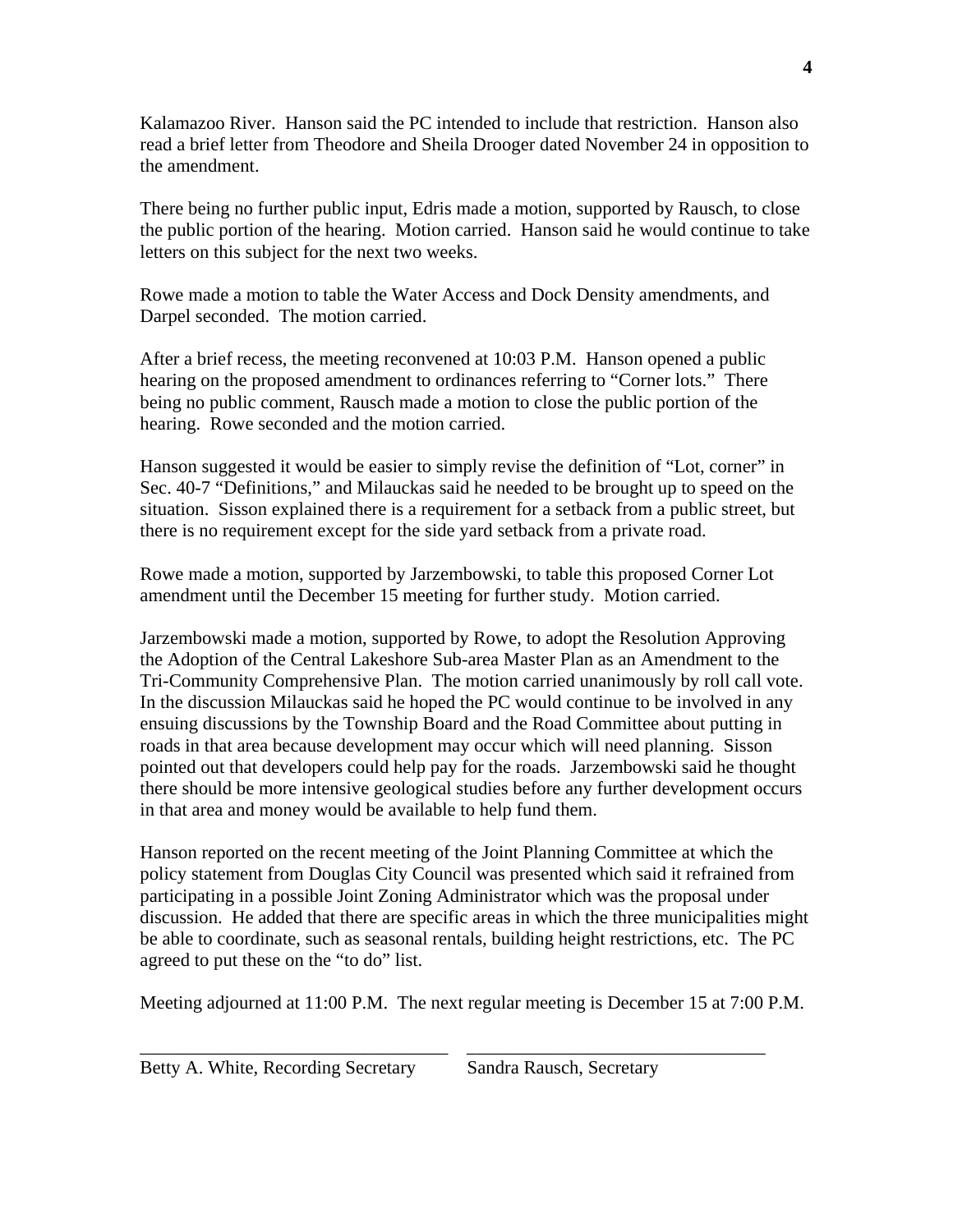Kalamazoo River. Hanson said the PC intended to include that restriction. Hanson also read a brief letter from Theodore and Sheila Drooger dated November 24 in opposition to the amendment.

There being no further public input, Edris made a motion, supported by Rausch, to close the public portion of the hearing. Motion carried. Hanson said he would continue to take letters on this subject for the next two weeks.

Rowe made a motion to table the Water Access and Dock Density amendments, and Darpel seconded. The motion carried.

After a brief recess, the meeting reconvened at 10:03 P.M. Hanson opened a public hearing on the proposed amendment to ordinances referring to "Corner lots." There being no public comment, Rausch made a motion to close the public portion of the hearing. Rowe seconded and the motion carried.

Hanson suggested it would be easier to simply revise the definition of "Lot, corner" in Sec. 40-7 "Definitions," and Milauckas said he needed to be brought up to speed on the situation. Sisson explained there is a requirement for a setback from a public street, but there is no requirement except for the side yard setback from a private road.

Rowe made a motion, supported by Jarzembowski, to table this proposed Corner Lot amendment until the December 15 meeting for further study. Motion carried.

Jarzembowski made a motion, supported by Rowe, to adopt the Resolution Approving the Adoption of the Central Lakeshore Sub-area Master Plan as an Amendment to the Tri-Community Comprehensive Plan. The motion carried unanimously by roll call vote. In the discussion Milauckas said he hoped the PC would continue to be involved in any ensuing discussions by the Township Board and the Road Committee about putting in roads in that area because development may occur which will need planning. Sisson pointed out that developers could help pay for the roads. Jarzembowski said he thought there should be more intensive geological studies before any further development occurs in that area and money would be available to help fund them.

Hanson reported on the recent meeting of the Joint Planning Committee at which the policy statement from Douglas City Council was presented which said it refrained from participating in a possible Joint Zoning Administrator which was the proposal under discussion. He added that there are specific areas in which the three municipalities might be able to coordinate, such as seasonal rentals, building height restrictions, etc. The PC agreed to put these on the "to do" list.

Meeting adjourned at 11:00 P.M. The next regular meeting is December 15 at 7:00 P.M.

\_\_\_\_\_\_\_\_\_\_\_\_\_\_\_\_\_\_\_\_\_\_\_\_\_\_\_\_\_\_\_\_\_ \_\_\_\_\_\_\_\_\_\_\_\_\_\_\_\_\_\_\_\_\_\_\_\_\_\_\_\_\_\_\_\_